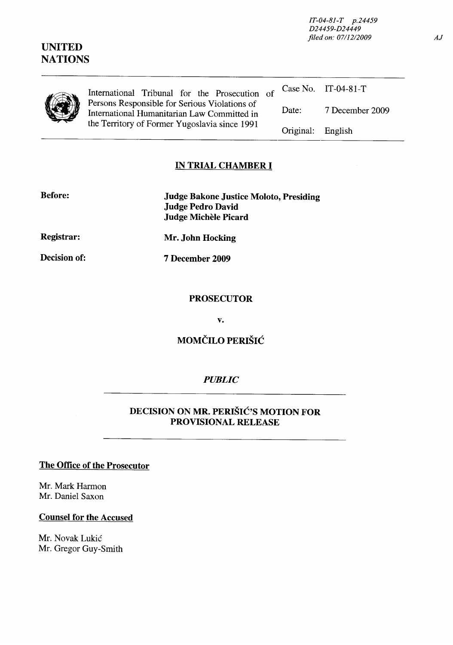*IT-04-81-T p.24459 D24459-D24449 filed on: 0711212009* 

## **UNITED NATIONS**

|  | International Tribunal for the Prosecution of                                                                                                 |                   | Case No. $IT-04-81-T$ |
|--|-----------------------------------------------------------------------------------------------------------------------------------------------|-------------------|-----------------------|
|  | Persons Responsible for Serious Violations of<br>International Humanitarian Law Committed in<br>the Territory of Former Yugoslavia since 1991 | Date:             | 7 December 2009       |
|  |                                                                                                                                               | Original: English |                       |

# **IN TRIAL CHAMBER I**

| <b>Before:</b>    | Judge Bakone Justice Moloto, Presiding<br><b>Judge Pedro David</b><br>Judge Michèle Picard |
|-------------------|--------------------------------------------------------------------------------------------|
| <b>Registrar:</b> | Mr. John Hocking                                                                           |
| Decision of:      | 7 December 2009                                                                            |

#### **PROSECUTOR**

**v.** 

# **MOMČILO PERIŠIĆ**

### *PUBLIC*

### **DECISION ON MR. PERISIC'S MOTION FOR PROVISIONAL RELEASE**

### **The Office of the Prosecutor**

Mr. Mark Harmon Mr. Daniel Saxon

#### **Counsel for the Accused**

Mr. Novak Lukić Mr. Gregor Guy-Smith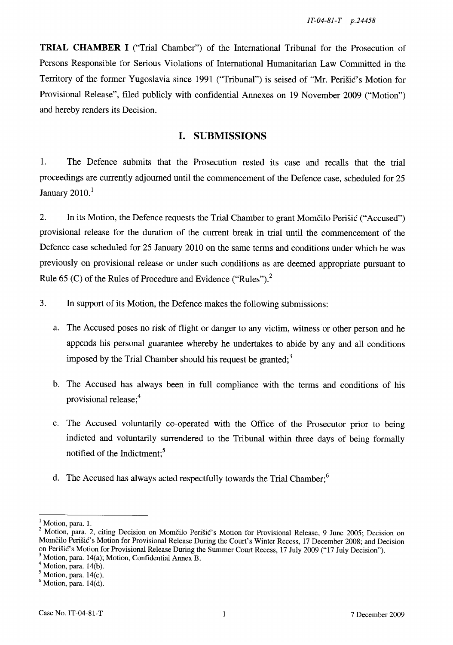**TRIAL CHAMBER I** ("Trial Chamber") of the International Tribunal for the Prosecution of Persons Responsible for Serious Violations of International Humanitarian Law Committed in the Territory of the former Yugoslavia since 1991 ("Tribunal") is seised of "Mr. Perisic's Motion for Provisional Release", filed publicly with confidential Annexes on 19 November 2009 ("Motion") and hereby renders its Decision.

## **I. SUBMISSIONS**

1. The Defence submits that the Prosecution rested its case and recalls that the trial proceedings are currently adjourned until the commencement of the Defence case, scheduled for 25 January  $2010<sup>1</sup>$ 

2. In its Motion, the Defence requests the Trial Chamber to grant Momcilo Perisic ("Accused") provisional release for the duration of the current break in trial until the commencement of the Defence case scheduled for 25 January 2010 on the same terms and conditions under which he was previously on provisional release or under such conditions as are deemed appropriate pursuant to Rule 65 (C) of the Rules of Procedure and Evidence ("Rules")?

3. In support of its Motion, the Defence makes the following submissions:

- a. The Accused poses no risk of flight or danger to any victim, witness or other person and he appends his personal guarantee whereby he undertakes to abide by any and all conditions imposed by the Trial Chamber should his request be granted; $3$
- b. The Accused has always been in full compliance with the terms and conditions of his provisional release;4
- c. The Accused voluntarily co-operated with the Office of the Prosecutor prior to being indicted and voluntarily surrendered to the Tribunal within three days of being formally notified of the Indictment;<sup>5</sup>
- d. The Accused has always acted respectfully towards the Trial Chamber;<sup>6</sup>

 $<sup>4</sup>$  Motion, para. 14(b).</sup>

 $<sup>1</sup>$  Motion, para. 1.</sup>

<sup>&</sup>lt;sup>2</sup> Motion, para. 2, citing Decision on Momčilo Perišić's Motion for Provisional Release, 9 June 2005; Decision on Momčilo Perišić's Motion for Provisional Release During the Court's Winter Recess, 17 December 2008; and Decision on Perišić's Motion for Provisional Release During the Summer Court Recess, 17 July 2009 ("17 July Decision").

 $<sup>3</sup>$  Motion, para. 14(a); Motion, Confidential Annex B.</sup>

 $<sup>5</sup>$  Motion, para. 14(c).</sup>

 $<sup>6</sup>$  Motion, para. 14(d).</sup>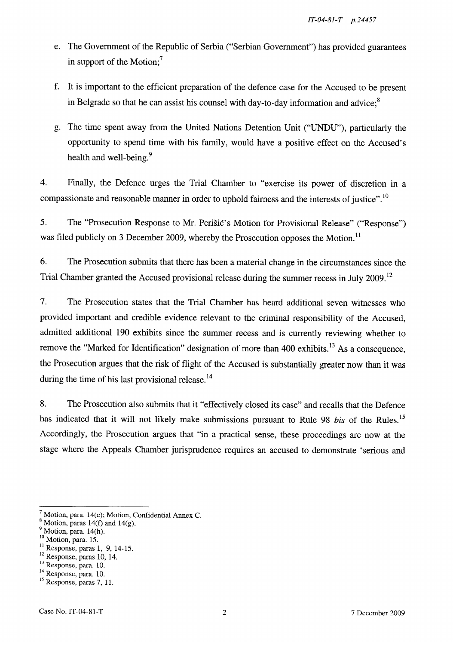- e. The Government of the Republic of Serbia ("Serbian Government") has provided guarantees in support of the Motion; $<sup>7</sup>$ </sup>
- f. It is important to the efficient preparation of the defence case for the Accused to be present in Belgrade so that he can assist his counsel with day-to-day information and advice; $8$
- g. The time spent away from the United Nations Detention Unit ("UNDU"), particularly the opportunity to spend time with his family, would have a positive effect on the Accused's health and well-being.<sup>9</sup>

4. Finally, the Defence urges the Trial Chamber to "exercise its power of discretion in a compassionate and reasonable manner in order to uphold fairness and the interests of justice".<sup>10</sup>

5. The "Prosecution Response to Mr. Perišić's Motion for Provisional Release" ("Response") was filed publicly on 3 December 2009, whereby the Prosecution opposes the Motion.<sup>11</sup>

6. The Prosecution submits that there has been a material change in the circumstances since the Trial Chamber granted the Accused provisional release during the summer recess in July 2009.<sup>12</sup>

7. The Prosecution states that the Trial Chamber has heard additional seven witnesses who provided important and credible evidence relevant to the criminal responsibility of the Accused, admitted additional 190 exhibits since the summer recess and is currently reviewing whether to remove the "Marked for Identification" designation of more than 400 exhibits.<sup>13</sup> As a consequence, the Prosecution argues that the risk of flight of the Accused is substantially greater now than it was during the time of his last provisional release.<sup>14</sup>

8. The Prosecution also submits that it "effectively closed its case" and recalls that the Defence has indicated that it will not likely make submissions pursuant to Rule 98 *bis* of the Rules.<sup>15</sup> Accordingly, the Prosecution argues that "in a practical sense, these proceedings are now at the stage where the Appeals Chamber jurisprudence requires an accused to demonstrate 'serious and

Motion, para. 14(e); Motion, Confidential Annex C.

 $8$  Motion, paras 14(f) and 14(g).

 $<sup>9</sup>$  Motion, para. 14(h).</sup>

<sup>&</sup>lt;sup>10</sup> Motion, para. 15.

 $11$  Response, paras 1, 9, 14-15.

<sup>12</sup> Response, paras 10, 14.

<sup>13</sup> Response, para. 10.

<sup>&</sup>lt;sup>14</sup> Response, para. 10.

<sup>&</sup>lt;sup>15</sup> Response, paras 7, 11.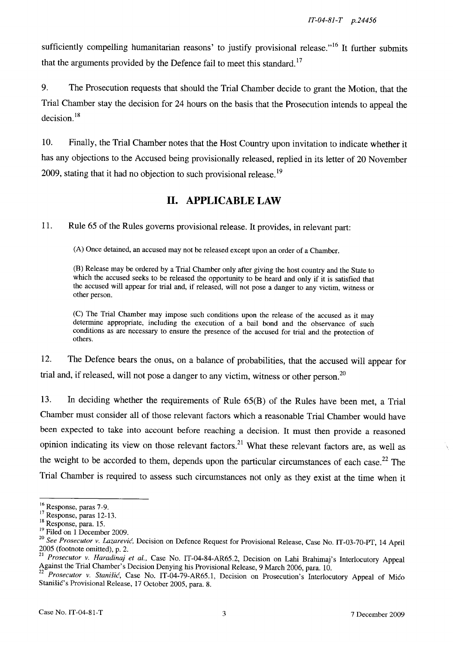sufficiently compelling humanitarian reasons' to justify provisional release."<sup>16</sup> It further submits that the arguments provided by the Defence fail to meet this standard.<sup>17</sup>

9. The Prosecution requests that should the Trial Chamber decide to grant the Motion, that the Trial Chamber stay the decision for 24 hours on the basis that the Prosecution intends to appeal the  $decision.<sup>18</sup>$ 

10. Finally, the Trial Chamber notes that the Host Country upon invitation to indicate whether it has any objections to the Accused being provisionally released, replied in its letter of 20 November 2009, stating that it had no objection to such provisional release.<sup>19</sup>

## **11. APPLICABLE LAW**

11. Rule 65 of the Rules governs provisional release. It provides, in relevant part:

(A) Once detained, an accused may not be released except upon an order of a Chamber.

(B) Release may be ordered by a Trial Chamber only after giving the host country and the State to which the accused seeks to be released the opportunity to be heard and only if it is satisfied that the accused will appear for trial and, if released, will not pose a danger to any victim, witness or other person.

(C) The Trial Chamber may impose such conditions upon the release of the accused as it may determine appropriate, including the execution of a bail bond and the observance of such conditions as are necessary to ensure the presence of the accused for trial and the protection of others.

12. The Defence bears the onus, on a balance of probabilities, that the accused will appear for trial and, if released, will not pose a danger to any victim, witness or other person.<sup>20</sup>

13. In deciding whether the requirements of Rule 65(B) of the Rules have been met, a Trial Chamber must consider all of those relevant factors which a reasonable Trial Chamber would have been expected to take into account before reaching a decision. It must then provide a reasoned opinion indicating its view on those relevant factors. 21 What these relevant factors are, as well as the weight to be accorded to them, depends upon the particular circumstances of each case.<sup>22</sup> The Trial Chamber is required to assess such circumstances not only as they exist at the time when it

<sup>16</sup> Response, paras 7-9.

<sup>17</sup> Response, paras 12-13.

<sup>&</sup>lt;sup>18</sup> Response, para. 15.

<sup>&</sup>lt;sup>19</sup> Filed on 1 December 2009.

*<sup>20</sup> See Prosecutor* v. *Lazarevic,* Decision on Defence Request for Provisional Release, Case No. IT-03-70-PT, 14 April 2005 (footnote omitted), p. 2.

<sup>21</sup>*Prosecutor* v. *Haradinaj et al.,* Case No. IT-04-84-AR65.2, Decision on Lahi Brahimaj's Interlocutory Appeal Against the Trial Chamber's Decision Denying his Provisional Release, 9 March 2006, para. 10.

*<sup>22</sup> Prosecutor* v. *Stanisic,* Case No. IT-04-79-AR65.1, Decision on Prosecution's Interlocutory Appeal of Mico Stanišić's Provisional Release, 17 October 2005, para. 8.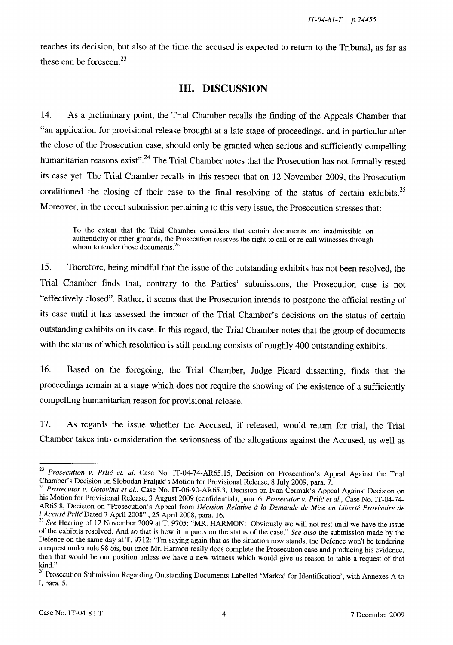reaches its decision, but also at the time the accused is expected to return to the Tribunal, as far as these can be foreseen. $^{23}$ 

### **Ill. DISCUSSION**

14. As a preliminary point, the Trial Chamber recalls the finding of the Appeals Chamber that "an application for provisional release brought at a late stage of proceedings, and in particular after the close of the Prosecution case, should only be granted when serious and sufficiently compelling humanitarian reasons exist".<sup>24</sup> The Trial Chamber notes that the Prosecution has not formally rested its case yet. The Trial Chamber recalls in this respect that on 12 November 2009, the Prosecution conditioned the closing of their case to the final resolving of the status of certain exhibits.<sup>25</sup> Moreover, in the recent submission pertaining to this very issue, the Prosecution stresses that:

To the extent that the Trial Chamber considers that certain documents are inadmissible on authenticity or other grounds, the Prosecution reserves the right to call or re-call witnesses through whom to tender those documents.<sup>26</sup>

15. Therefore, being mindful that the issue of the outstanding exhibits has not been resolved, the Trial Chamber finds that, contrary to the Parties' submissions, the Prosecution case is not "effectively closed". Rather, it seems that the Prosecution intends to postpone the official resting of its case until it has assessed the impact of the Trial Chamber's decisions on the status of certain outstanding exhibits on its case. In this regard, the Trial Chamber notes that the group of documents with the status of which resolution is still pending consists of roughly 400 outstanding exhibits.

16. Based on the foregoing, the Trial Chamber, Judge Picard dissenting, finds that the proceedings remain at a stage which does not require the showing of the existence of a sufficiently compelling humanitarian reason for provisional release.

17. As regards the issue whether the Accused, if released, would return for trial, the Trial Chamber takes into consideration the seriousness of the allegations against the Accused, as well as

*<sup>23</sup> Prosecution v. Prlic et. ai,* Case No. IT-04-74-AR65.15, Decision on Prosecution's Appeal Against the Trial Chamber's Decision on Slobodan Praljak's Motion for Provisional Release, 8 July 2009, para. 7.

<sup>&</sup>lt;sup>24</sup> Prosecutor v. Gotovina et al., Case No. IT-06-90-AR65.3, Decision on Ivan Čermak's Appeal Against Decision on his Motion for Provisional Release, 3 August 2009 (confidential), para. 6; *Prosecutor v. Prlic et aI.,* Case No. IT-04-74- AR65.8, Decision on "Prosecution's Appeal from *Decision Relative a la Demande de Mise en Liberte Provisoire de I 'Accuse Prlic* Dated 7 April 2008" , 25 April 2008, para. 16.

*<sup>25</sup> See* Hearing of 12 November 2009 at T. 9705: "MR. HARMON: Obviously we will not rest until we have the issue of the exhibits resolved. And so that is how it impacts on the status of the case." *See also* the submission made by the Defence on the same day at T. 9712: "I'm saying again that as the situation now stands, the Defence won't be tendering a request under rule 98 bis, but once Mr. Harmon really does complete the Prosecution case and producing his evidence, then that would be our position unless we have a new witness which would give us reason to table a request of that kind."

<sup>&</sup>lt;sup>26</sup> Prosecution Submission Regarding Outstanding Documents Labelled 'Marked for Identification', with Annexes A to I, para. 5.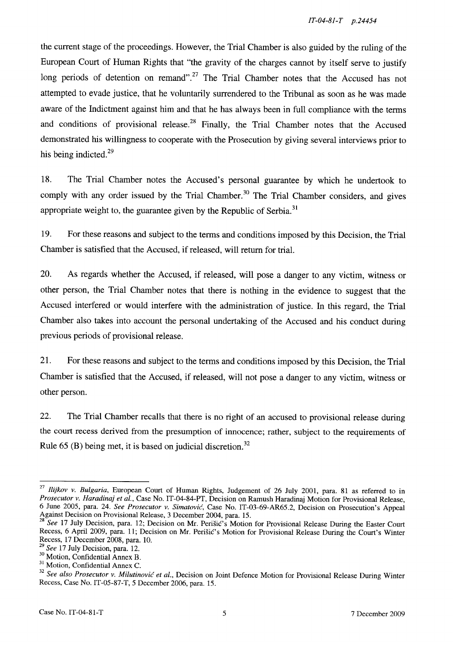the current stage of the proceedings. However, the Trial Chamber is also guided by the ruling of the European Court of Human Rights that "the gravity of the charges cannot by itself serve to justify long periods of detention on remand".<sup>27</sup> The Trial Chamber notes that the Accused has not attempted to evade justice, that he voluntarily surrendered to the Tribunal as soon as he was made aware of the Indictment against him and that he has always been in full compliance with the terms and conditions of provisional release.<sup>28</sup> Finally, the Trial Chamber notes that the Accused demonstrated his willingness to cooperate with the Prosecution by giving several interviews prior to his being indicted.<sup>29</sup>

18. The Trial Chamber notes the Accused's personal guarantee by which he undertook to comply with any order issued by the Trial Chamber.<sup>30</sup> The Trial Chamber considers, and gives appropriate weight to, the guarantee given by the Republic of Serbia.<sup>31</sup>

19. For these reasons and subject to the terms and conditions imposed by this Decision, the Trial Chamber is satisfied that the Accused, if released, will return for trial.

20. As regards whether the Accused, if released, will pose a danger to any victim, witness or other person, the Trial Chamber notes that there is nothing in the evidence to suggest that the Accused interfered or would interfere with the administration of justice. In this regard, the Trial Chamber also takes into account the personal undertaking of the Accused and his conduct during previous periods of provisional release.

21. For these reasons and subject to the terms and conditions imposed by this Decision, the Trial Chamber is satisfied that the Accused, if released, will not pose a danger to any victim, witness or other person.

22. The Trial Chamber recalls that there is no right of an accused to provisional release during the court recess derived from the presumption of innocence; rather, subject to the requirements of Rule  $65$  (B) being met, it is based on judicial discretion.<sup>32</sup>

*<sup>27</sup> Ilijkov v. Bulgaria,* European Court of Human Rights, Judgement of 26 July 2001, para. SI as referred to in *Prosecutor v. Haradinaj et aI.,* Case No. 1T-04-S4-PT, Decision on Ramush Haradinaj Motion for Provisional Release, 6 June 2005, para. 24. *See Prosecutor v. Simatovic,* Case No. IT-03-69-AR65.2, Decision on Prosecution's Appeal Against Decision on Provisional Release, 3 December 2004, para. 15.<br><sup>28</sup>.

See 17 July Decision, para. 12; Decision on Mr. Perišić's Motion for Provisional Release During the Easter Court Recess, 6 April 2009, para. 11; Decision on Mr. Perišić's Motion for Provisional Release During the Court's Winter Recess, 17 December 200S, para. 10.

*<sup>29</sup> See* 17 July Decision, para. 12.

<sup>30</sup> Motion, Confidential Annex B.

<sup>&</sup>lt;sup>31</sup> Motion, Confidential Annex C.

*<sup>32</sup> See also Prosecutor v. Milutinovic et al.,* Decision on Joint Defence Motion for Provisional Release During Winter Recess, Case No. IT-05-S7-T, 5 December 2006, para. 15.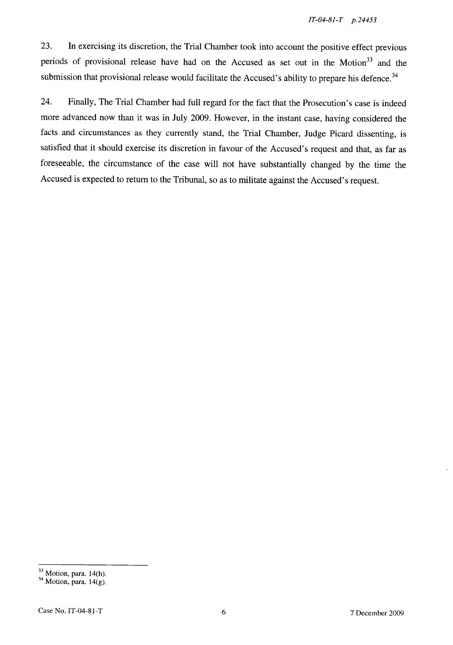23. **In** exercising its discretion, the Trial Chamber took into account the positive effect previous periods of provisional release have had on the Accused as set out in the Motion<sup>33</sup> and the submission that provisional release would facilitate the Accused's ability to prepare his defence.<sup>34</sup>

24. Finally, The Trial Chamber had full regard for the fact that the Prosecution's case is indeed more advanced now than it was in July 2009. However, in the instant case, having considered the facts and circumstances as they currently stand, the Trial Chamber, Judge Picard dissenting, is satisfied that it should exercise its discretion in favour of the Accused's request and that, as far as foreseeable, the circumstance of the case will not have substantially changed by the time the Accused is expected to return to the Tribunal, so as to militate against the Accused's request.

<sup>33</sup> Motion, para. 14(h).

 $34$  Motion, para. 14(g).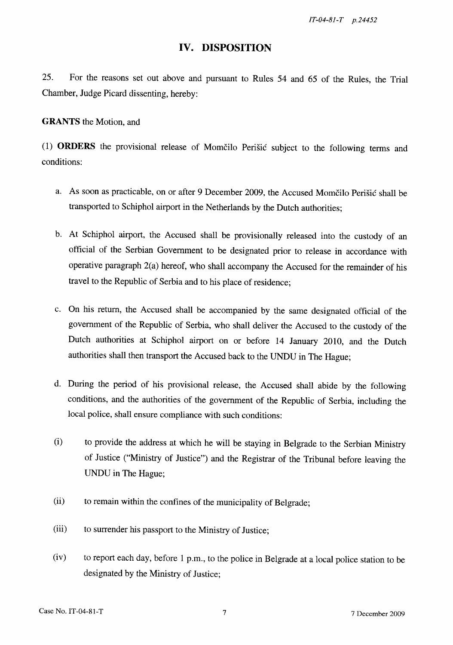### **IV. DISPOSITION**

25. For the reasons set out above and pursuant to Rules 54 and 65 of the Rules, the Trial Chamber, Judge Picard dissenting, hereby:

**GRANTS** the Motion, and

(1) **ORDERS** the provisional release of Momcilo Perisic subject to the following terms and conditions:

- a. As soon as practicable, on or after 9 December 2009, the Accused Momčilo Perišić shall be transported to Schiphol airport in the Netherlands by the Dutch authorities;
- b. At Schiphol airport, the Accused shall be provisionally released into the custody of an official of the Serbian Government to be designated prior to release in accordance with operative paragraph 2(a) hereof, who shall accompany the Accused for the remainder of his travel to the Republic of Serbia and to his place of residence;
- c. On his return, the Accused shall be accompanied by the same designated official of the government of the Republic of Serbia, who shall deliver the Accused to the custody of the Dutch authorities at Schiphol airport on or before 14 January 2010, and the Dutch authorities shall then transport the Accused back to the UNDU in The Hague;
- d. During the period of his provisional release, the Accused shall abide by the following conditions, and the authorities of the government of the Republic of Serbia, including the local police, shall ensure compliance with such conditions:
- (i) to provide the address at which he will be staying in Belgrade to the Serbian Ministry of Justice ("Ministry of Justice") and the Registrar of the Tribunal before leaving the UNDU in The Hague;
- (ii) to remain within the confines of the municipality of Belgrade;
- (iii) to surrender his passport to the Ministry of Justice;
- (iv) to report each day, before 1 p.m., to the police in Belgrade at a local police station to be designated by the Ministry of Justice;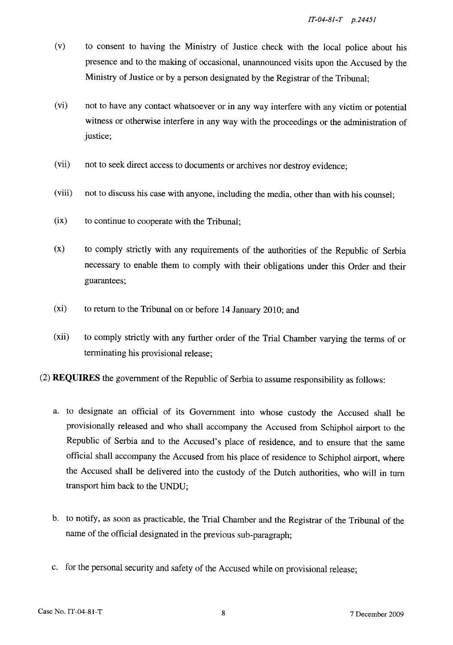- (v) to consent to having the Ministry of Justice check with the local police about his presence and to the making of occasional, unannounced visits upon the Accused by the Ministry of Justice or by a person designated by the Registrar of the Tribunal;
- (vi) not to have any contact whatsoever or in any way interfere with any victim or potential witness or otherwise interfere in any way with the proceedings or the administration of justice;
- (vii) not to seek direct access to documents or archives nor destroy evidence;
- (viii) not to discuss his case with anyone, including the media, other than with his counsel;
- $(ix)$  to continue to cooperate with the Tribunal;
- (x) to comply strictly with any requirements of the authorities of the Republic of Serbia necessary to enable them to comply with their obligations under this Order and their guarantees;
- (xi) to return to the Tribunal on or before 14 January 2010; and
- (xii) to comply strictly with any further order of the Trial Chamber varying the terms of or terminating his provisional release;
- (2) **REQUIRES** the government of the Republic of Serbia to assume responsibility as follows:
	- a. to designate an official of its Government into whose custody the Accused shall be provisionally released and who shall accompany the Accused from Schiphol airport to the Republic of Serbia and to the Accused's place of residence, and to ensure that the same official shall accompany the Accused from his place of residence to Schiphol airport, where the Accused shall be delivered into the custody of the Dutch authorities, who will in turn transport him back to the UNDU;
	- b. to notify, as soon as practicable, the Trial Chamber and the Registrar of the Tribunal of the name of the official designated in the previous sub-paragraph;
	- c. for the personal security and safety of the Accused while on provisional release;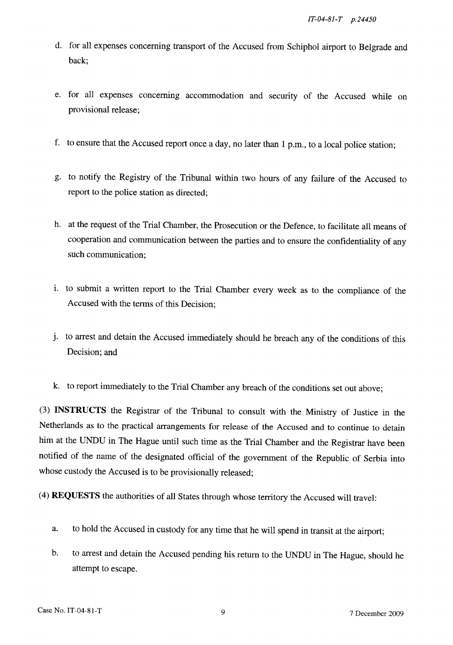- d. for all expenses concerning transport of the Accused from Schiphol airport to Belgrade and back;
- e. for all expenses concerning accommodation and security of the Accused while on provisional release;
- f. to ensure that the Accused report once a day, no later than I p.m., to a local police station;
- g. to notify the Registry of the Tribunal within two hours of any failure of the Accused to report to the police station as directed;
- h. at the request of the Trial Chamber, the Prosecution or the Defence, to facilitate all means of cooperation and communication between the parties and to ensure the confidentiality of any such communication;
- i. to submit a written report to the Trial Chamber every week as to the compliance of the Accused with the terms of this Decision;
- J. to arrest and detain the Accused immediately should he breach any of the conditions of this Decision; and
- k. to report immediately to the Trial Chamber any breach of the conditions set out above;

(3) **INSTRUCTS** the Registrar of the Tribunal to consult with the Ministry of Justice in the Netherlands as to the practical arrangements for release of the Accused and to continue to detain him at the UNDU in The Hague until such time as the Trial Chamber and the Registrar have been notified of the name of the designated official of the government of the Republic of Serbia into whose custody the Accused is to be provisionally released;

(4) **REQUESTS** the authorities of all States through whose territory the Accused will travel:

- a. to hold the Accused in custody for any time that he will spend in transit at the airport;
- b. to arrest and detain the Accused pending his return to the UNDU in The Hague, should he attempt to escape.